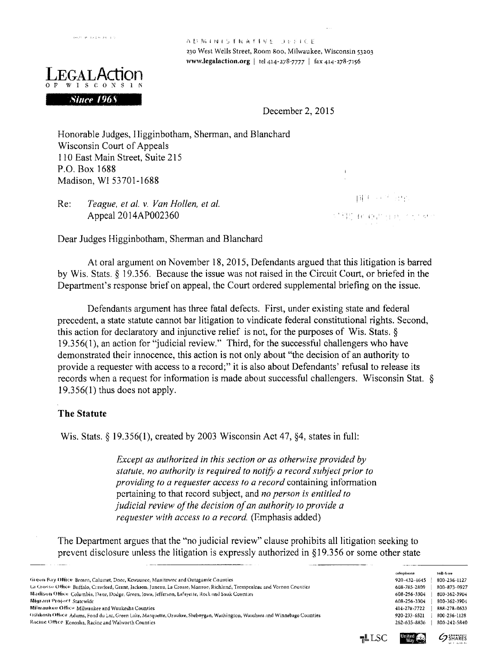

*Since 1968* 

**<sup>a</sup>** *v* !Vi n'j <sup>i</sup> <sup>r</sup> ts <sup>a</sup> <sup>f</sup> <sup>s</sup> </ *t <sup>J</sup> <sup>i</sup> <sup>l</sup>* <sup>i</sup> <sup>&</sup>lt; <sup>E</sup> 230 West Wells Street, Room 800, Milwaukee, Wisconsin 53203 **[www.legalaction.org](http://www.legalaction.org)** | tel 414-278-7777 | fax 414-278-7156

December 2, 2015

Honorable Judges, I ligginbotham, Sherman, and Blanchard Wisconsin Court of Appeals 110 East Main Street, Suite 215 P.O. Box 1688 Madison, Wl 53701-1688

*Teague*, *el al. v. Van Hollen, et al.* Appeal 2014AP002360 Re:

Tip Controllege 经错误 化对甲氧化 不小外生

Dear Judges Higginbotham, Sherman and Blanchard

At oral argument on November 18, 2015, Defendants argued that this litigation is barred by Wis. Stats. § 19.356. Because the issue was not raised in the Circuit Court, or briefed in the Department's response brief on appeal, the Court ordered supplemental briefing on the issue.

Defendants argument has three fatal defects. First, under existing state and federal precedent, a state statute cannot bar litigation to vindicate federal constitutional rights. Second, this action for declaratory and injunctive relief is not, for the purposes of Wis. Stats. § 19.356(1), an action for "judicial review." Third, for the successful challengers who have demonstrated their innocence, this action is not only about "the decision of an authority to provide <sup>a</sup> requester with access to <sup>a</sup> record;" it is also about Defendants' refusal to release its records when a request for information is made about successful challengers. Wisconsin Stat. § 19.356(1) thus does not apply.

#### **The Statute**

Wis. Stats. § 19.356(1), created by 2003 Wisconsin Act 47, §4, states in full:

*Except as authorized in this section or as otherwise provided by statute, no authority is required to notify a record subject prior to providing to a requester access to a record* containing information pertaining to that record subject, and *no person is entitled to judicial review of the decision of an authority to provide a requester with access to a record.* (Emphasis added)

The Department argues that the "no judicial review" clause prohibits all litigation seeking to prevent disclosure unless the litigation is expressly authorized in §19.356 or some other state

|                                                                                                                           |     | telephone    | toll-free       |
|---------------------------------------------------------------------------------------------------------------------------|-----|--------------|-----------------|
| Green Bay Office Brown, Calumet, Door, Kewaunee, Manitowoc and Outagamic Counties                                         |     | 920-432-4645 | 800-236-1127    |
| La Crosse Office Buffalo, Crawford, Grant, Jackson, Juneau, La Crosse, Monroe, Richland, Trempealeau and Vernon Counties  |     | 608-785-2809 | 800-873-0927    |
| Madison Office: Columbia, Dane, Dodge, Green, Jowa, Jefferson, Lafayette, Rock and Sauk Counties                          |     | 608-256-3304 | 800-362-3904    |
| Migrant Project Statcwide                                                                                                 |     | 608-256-3304 | 800-362-3904    |
| Milwaukee Office Milwaukee and Waukesha Counties                                                                          |     | 414-278-7722 | 888-278-0633    |
| Oshkosh Office Adams, Fond du Lac, Green Lake, Marquette, Ozaukee, Sheboygan, Washington, Waushara and Winnebago Counties |     | 920-233-6521 | 800-236-1128    |
| Racine Office Kenosha, Racine and Walworth Counties                                                                       |     | 262-635-8836 | 800-242-5840    |
|                                                                                                                           | LSC | United (     | <b>GERARE'S</b> |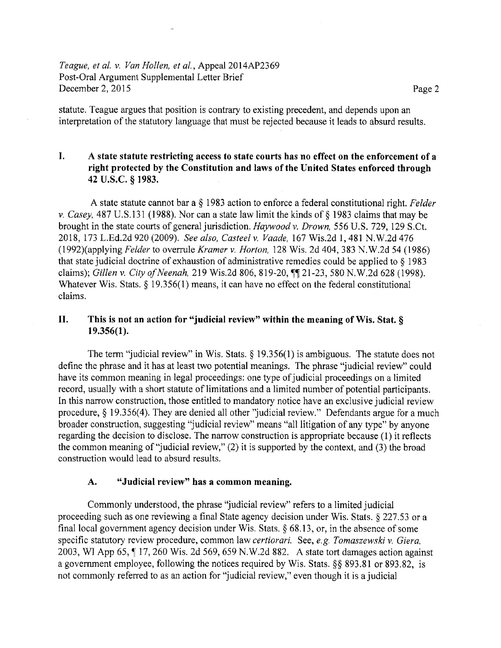### *Teague, et al.* v. *Van Hollen, et al.* Appeal 2014AP2369 Post-Oral Argument Supplemental Letter Brief December 2, 2015 Page 2

statute. Teague argues that position is contrary to existing precedent, and depends upon an interpretation of the statutory language that must be rejected because it leads to absurd results.

## **I. A state statute restricting access to state courts has no effect on the enforcement of <sup>a</sup> right protected by the Constitution and laws of the United States enforced through 42 U.S.C. § 1983.**

A state statute cannot bar a § 1983 action to enforce a federal constitutional right. *Felder* v. *Casey,* 487 U.S.131 (1988). Nor can <sup>a</sup> state law limit the kinds of § 1983 claims that may be brought in the state courts of general jurisdiction. *Haywood* v. *Drown,* 556 U.S. 729, 129 S.Ct. 2018, 173 L.Ed.2d 920 (2009). *See also, Casteel* v. *Vaade,* 167 Wis.2d 1,481 N.W.2d 476 (1992)(applying *Felder* to overrule *Kramer* v. *Horton,* 128 Wis. 2d 404, 383 N.W.2d 54 (1986) that state judicial doctrine of exhaustion of administrative remedies could be applied to  $\S$  1983 claims); *Gillen v. City of Neenah*, 219 Wis.2d 806, 819-20, 11 21-23, 580 N.W.2d 628 (1998). Whatever Wis. Stats, § 19.356(1) means, it can have no effect on the federal constitutional claims.

#### **II. This is not an action for "judicial review" within the meaning ofWis. Stat. § 19.356(1).**

The term "judicial review" in Wis. Stats. § 19.356(1) is ambiguous. The statute does not define the phrase and it has at least two potential meanings. The phrase "judicial review" could have its common meaning in legal proceedings: one type of judicial proceedings on a limited record, usually with a short statute of limitations and a limited number of potential participants. In this narrow construction, those entitled to mandatory notice have an exclusive judicial review procedure, § 19.356(4). They are denied all other ''judicial review." Defendants argue for <sup>a</sup> much broader construction, suggesting "judicial review" means "all litigation of any type" by anyone regarding the decision to disclose. The narrow construction is appropriate because (1) it reflects the common meaning of"judicial review," (2) it is supported by the context, and (3) the broad construction would lead to absurd results.

#### **A. "Judicial review" has <sup>a</sup> common meaning.**

Commonly understood, the phrase "judicial review" refers to <sup>a</sup> limited judicial proceeding such as one reviewing a final State agency decision under Wis. Stats. § 227.53 or a final local government agency decision under Wis, Stats. § 68.13, or, in the absence of some specific statutory review procedure, common law *certiorari.* See, *e.g. Tomaszewski* v, *Giera*, 2003, WI App 65, ¶ 17, 260 Wis. 2d 569, 659 N.W.2d 882. A state tort damages action against a government employee, following the notices required by Wis. Stats. §§ 893.81 or 893.82, is not commonly referred to as an action for "judicial review," even though it is <sup>a</sup> judicial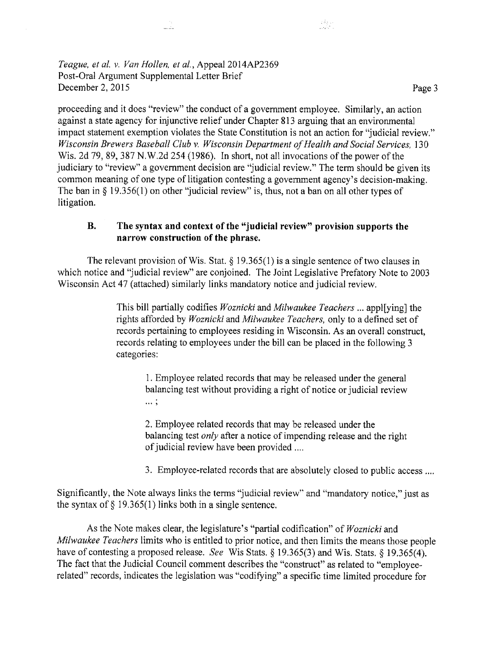## *Teague, et al.* v. *Van Hollen, et al.* Appeal 2014AP2369 Post-Oral Argument Supplemental Letter Brief December 2, 2015 Page 3

لمناسب

proceeding and it does "review" the conduct of <sup>a</sup> government employee. Similarly, an action against a state agency for injunctive relief under Chapter 813 arguing that an environmental impact statement exemption violates the State Constitution is not an action for "judicial review." *Wisconsin Brewers Baseball Club v. Wisconsin Department of Health and Social Services,* 130 Wis. 2d 79, 89, 387 N, W.2d 254 (1986). In short, not all invocations of the power of the judiciary to "review" <sup>a</sup> government decision are "judicial review." The term should be given its common meaning of one type of litigation contesting <sup>a</sup> government agency's decision-making. The ban in § 19.356(1) on other "judicial review" is, thus, not <sup>a</sup> ban on all other types of litigation.

inak<br>Labara

# **B. The syntax and context of the "judicial review" provision supports the narrow construction of the phrase.**

The relevant provision of Wis. Stat.  $\S$  19.365(1) is a single sentence of two clauses in which notice and "judicial review" are conjoined. The Joint Legislative Prefatory Note to <sup>2003</sup> Wisconsin Act 47 (attached) similarly links mandatory notice and judicial review.

> This bill partially codifies *Woznicki* and *Milwaukee Teachers* ... applying] the rights afforded by *Woznicki* and *Milwaukee Teachers,* only to <sup>a</sup> defined set of records pertaining to employees residing in Wisconsin. As an overall construct, records relating to employees under the bill can be placed in the following <sup>3</sup> categories:

1. Employee related records that may be released under the general balancing test without providing a right of notice or judicial review **• • • <sup>&</sup>gt;**

2. Employee related records that may be released under the balancing test *only* after a notice of impending release and the right of judicial review have been provided ....

3. Employee-related records that are absolutely closed to public access ....

Significantly, the Note always links the terms "judicial review" and "mandatory notice," just as the syntax of  $\S$  19.365(1) links both in a single sentence.

As the Note makes clear, the legislature's "partial codification" of *Woznicki* and *Milwaukee Teachers* limits who is entitled to prior notice, and then limits the means those people have of contesting <sup>a</sup> proposed release. *See* Wis Stats. § 19.365(3) and Wis. Stats. § 19.365(4). The fact that the Judicial Council comment describes the "construct" as related to "employeerelated" records, indicates the legislation was "codifying" <sup>a</sup> specific time limited procedure for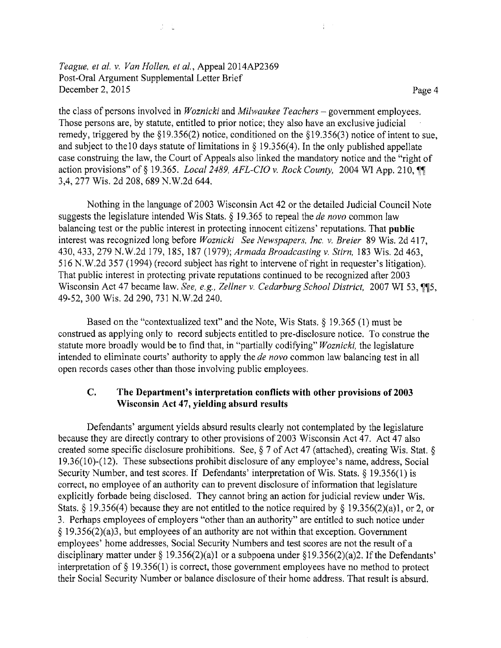*Teague, et al. v. Van Hollen, et al., Appeal 2014AP2369* Post-Oral Argument Supplemental Letter Brief December 2, 2015 Page 4

 $\mathcal{J}=\mathcal{L}$ 

the class of persons involved in *Woznicki* and *Milwaukee Teachers* - government employees. Those persons are, by statute, entitled to prior notice; they also have an exclusive judicial remedy, triggered by the §19.356(2) notice, conditioned on the §19.356(3) notice of intent to sue, and subject to the 10 days statute of limitations in  $\S$  19.356(4). In the only published appellate case construing the law, the Court of Appeals also linked the mandatory notice and the "right of action provisions" of § 19.365. *Local 2489, AFL-CIO* v. *Rock County,* 2004 WI App. 210, 3,4, *211* Wis. 2d 208, 689 N.W.2d 644.

÷.

Nothing in the language of 2003 Wisconsin Act 42 or the detailed Judicial Council Note suggests the legislature intended Wis Stats. § 19.365 to repeal the *de novo* common law balancing test or the public interest in protecting innocent citizens' reputations. That **public** interest was recognized long before *Woznicki See Newspapers*, *Inc.* v. *Breier* 89 Wis. 2d 417, 430, 433, 279 N.W.2d 179,185, 187 (1979); *Armada Broadcasting v. Stirn,* 183 Wis. 2d 463, <sup>516</sup> N.W.2d <sup>357</sup> (1994) (record subject has right to intervene ofright in requester's litigation). That public interest in protecting private reputations continued to be recognized after 2003 Wisconsin Act 47 became law. *See, e.g., Zellner* v. *Cedarburg School District,* 2007 WI 53, ^[5, 49-52, 300 Wis. 2d 290, 731 N.W.2d 240.

Based on the "contextualized text" and the Note, Wis Stats, § 19.365 (1) must be construed as applying only to record subjects entitled to pre-disclosure notice. To construe the statute more broadly would be to find that, in "partially codifying" *Woznicki,* the legislature intended to eliminate courts' authority to apply the *de novo* common law balancing test in all open records cases other than those involving public employees.

#### **The Department's interpretation conflicts with other provisions of <sup>2003</sup> Wisconsin Act 47, yielding absurd results C.**

Defendants' argument yields absurd results clearly not contemplated by the legislature because they are directly contrary to other provisions of 2003 Wisconsin Act 47. Act 47 also created some specific disclosure prohibitions. See,  $\S$  7 of Act 47 (attached), creating Wis. Stat.  $\S$ 19.36(10)-(12). These subsections prohibit disclosure of any employee's name, address, Social Security Number, and test scores. If Defendants' interpretation of Wis. Stats. § 19.356(1) is correct, no employee of an authority can to prevent disclosure of information that legislature explicitly forbade being disclosed. They cannot bring an action for judicial review under Wis. Stats. § 19.356(4) because they are not entitled to the notice required by § 19.356(2)(a)1, or 2, or 3. Perhaps employees of employers "other than an authority" are entitled to such notice under § I9.356(2)(a)3, but employees of an authority are not within that exception. Government employees' home addresses, Social Security Numbers and test scores are not the result of <sup>a</sup> disciplinary matter under § 19.356(2)(a)1 or a subpoena under §19.356(2)(a)2. If the Defendants' interpretation of § 19.356(1) is correct, those government employees have no method to protect their Social Security Number or balance disclosure of their home address. That result is absurd.